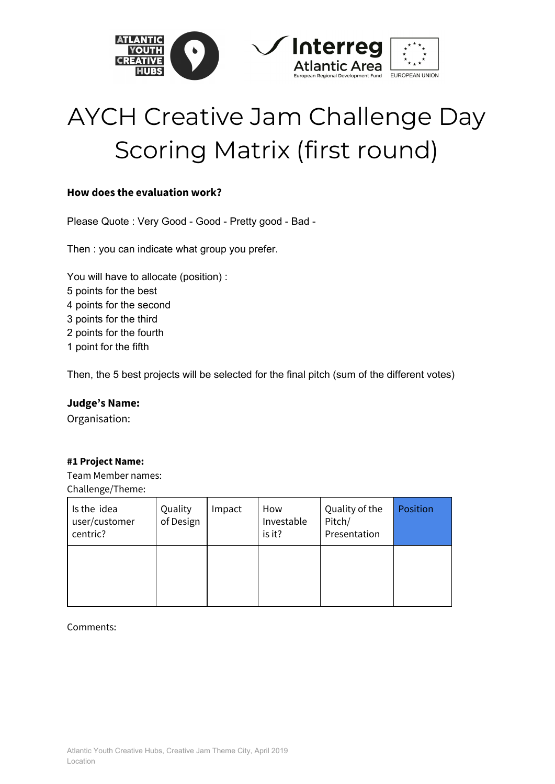

# AYCH Creative Jam Challenge Day Scoring Matrix (first round)

# **How does the evaluation work?**

Please Quote : Very Good - Good - Pretty good - Bad -

Then : you can indicate what group you prefer.

You will have to allocate (position) : points for the best points for the second points for the third points for the fourth point for the fifth

Then, the 5 best projects will be selected for the final pitch (sum of the different votes)

# **Judge's Name:**

Organisation:

# **#1 Project Name:**

Team Member names: Challenge/Theme:

| Is the idea<br>user/customer<br>centric? | Quality<br>of Design | Impact | How<br>Investable<br>is it? | Quality of the<br>Pitch/<br>Presentation | Position |
|------------------------------------------|----------------------|--------|-----------------------------|------------------------------------------|----------|
|                                          |                      |        |                             |                                          |          |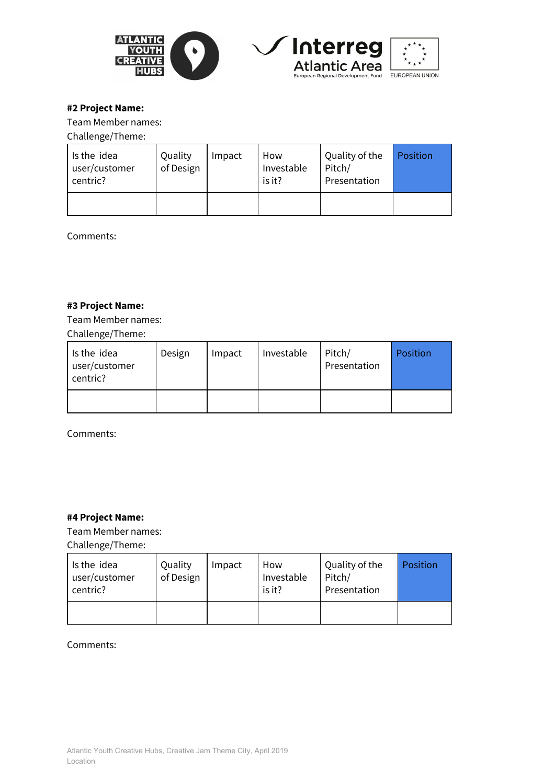





# **#2 Project Name:**

Team Member names:

Challenge/Theme:

| Is the idea<br>user/customer<br>centric? | Quality<br>of Design | Impact | How<br>Investable<br>is it? | Quality of the<br>Pitch/<br>Presentation | Position |
|------------------------------------------|----------------------|--------|-----------------------------|------------------------------------------|----------|
|                                          |                      |        |                             |                                          |          |

Comments:

# **#3 Project Name:**

Team Member names: Challenge/Theme:

| Is the idea<br>user/customer<br>centric? | Design | Impact | Investable | Pitch/<br>Presentation | Position |
|------------------------------------------|--------|--------|------------|------------------------|----------|
|                                          |        |        |            |                        |          |

Comments:

# **#4 Project Name:**

Team Member names:

Challenge/Theme:

| Is the idea<br>user/customer<br>centric? | Quality<br>of Design | Impact | How<br>Investable<br>is it? | Quality of the<br>Pitch/<br>Presentation | Position |
|------------------------------------------|----------------------|--------|-----------------------------|------------------------------------------|----------|
|                                          |                      |        |                             |                                          |          |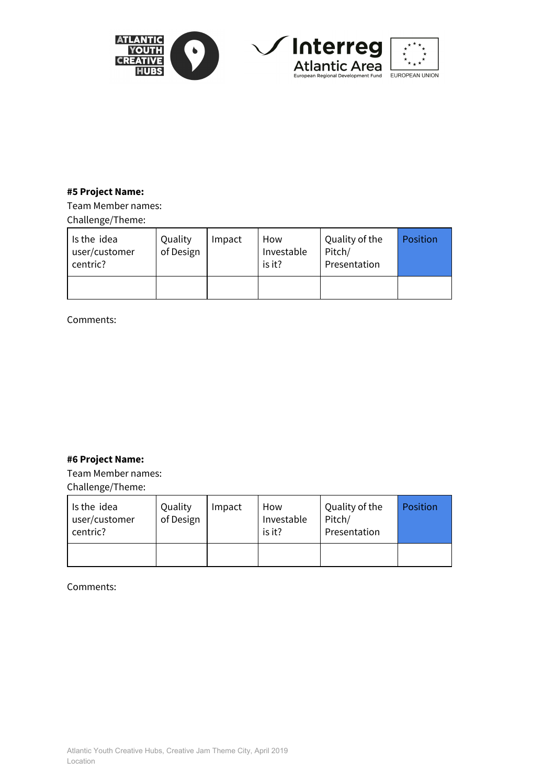

# **#5 Project Name:**

Team Member names: Challenge/Theme:

| Is the idea<br>user/customer<br>centric? | Quality<br>of Design | Impact | How<br>Investable<br>is it? | Quality of the<br>Pitch/<br>Presentation | Position |
|------------------------------------------|----------------------|--------|-----------------------------|------------------------------------------|----------|
|                                          |                      |        |                             |                                          |          |

Comments:

# **#6 Project Name:**

Team Member names:

Challenge/Theme:

| Is the idea<br>user/customer<br>centric? | Quality<br>of Design | Impact | How<br>Investable<br>is it? | Quality of the<br>Pitch/<br>Presentation | Position |
|------------------------------------------|----------------------|--------|-----------------------------|------------------------------------------|----------|
|                                          |                      |        |                             |                                          |          |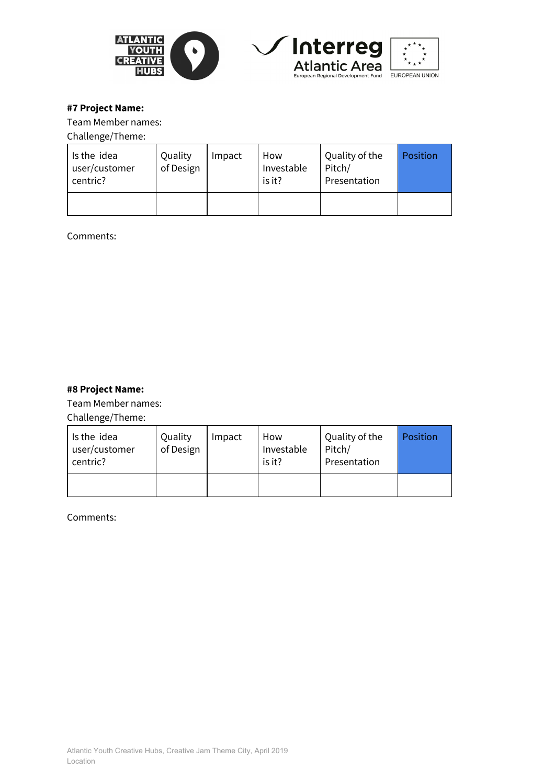





# **#7 Project Name:**

Team Member names:

#### Challenge/Theme:

| Is the idea<br>user/customer<br>centric? | Quality<br>of Design | Impact | How<br>Investable<br>is it? | Quality of the<br>Pitch/<br>Presentation | Position |
|------------------------------------------|----------------------|--------|-----------------------------|------------------------------------------|----------|
|                                          |                      |        |                             |                                          |          |

Comments:

# **#8 Project Name:**

Team Member names:

Challenge/Theme:

| Is the idea<br>user/customer<br>centric? | Quality<br>of Design | Impact | How<br>Investable<br>is it? | Quality of the<br>Pitch/<br>Presentation | Position |
|------------------------------------------|----------------------|--------|-----------------------------|------------------------------------------|----------|
|                                          |                      |        |                             |                                          |          |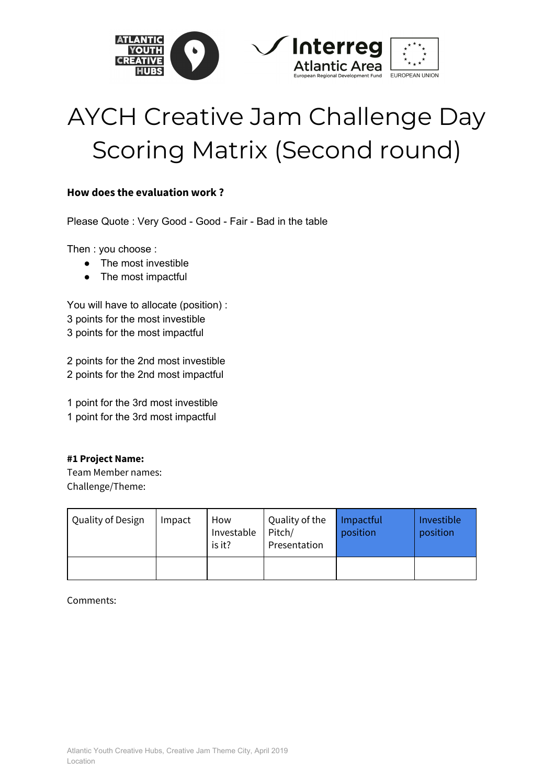

# AYCH Creative Jam Challenge Day Scoring Matrix (Second round)

# **How does the evaluation work ?**

Please Quote : Very Good - Good - Fair - Bad in the table

Then : you choose :

- The most investible
- The most impactful

You will have to allocate (position) : 3 points for the most investible 3 points for the most impactful

2 points for the 2nd most investible 2 points for the 2nd most impactful

1 point for the 3rd most investible 1 point for the 3rd most impactful

# **#1 Project Name:**

Team Member names: Challenge/Theme:

| Quality of Design | Impact | How<br>Investable<br>is it? | Quality of the<br>Pitch/<br>Presentation | Impactful<br>position | Investible<br>position |
|-------------------|--------|-----------------------------|------------------------------------------|-----------------------|------------------------|
|                   |        |                             |                                          |                       |                        |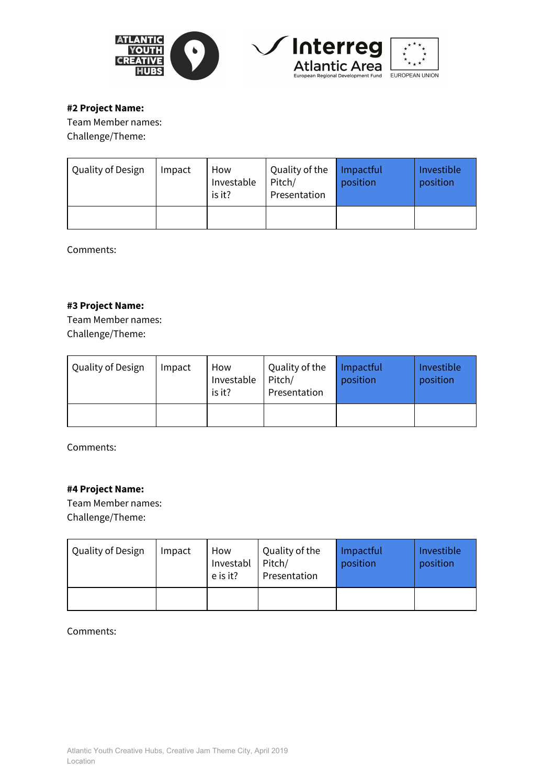





# **#2 Project Name:**

Team Member names: Challenge/Theme:

| Quality of Design | Impact | How<br>Investable<br>is it? | Quality of the<br>Pitch/<br>Presentation | Impactful<br>position | Investible<br>position |
|-------------------|--------|-----------------------------|------------------------------------------|-----------------------|------------------------|
|                   |        |                             |                                          |                       |                        |

Comments:

# **#3 Project Name:**

Team Member names: Challenge/Theme:

| Quality of Design | Impact | How<br>Investable<br>is it? | Quality of the<br>Pitch/<br>Presentation | Impactful<br>position | Investible<br>position |
|-------------------|--------|-----------------------------|------------------------------------------|-----------------------|------------------------|
|                   |        |                             |                                          |                       |                        |

Comments:

# **#4 Project Name:**

Team Member names: Challenge/Theme:

| Quality of Design | Impact | How<br>Investabl<br>e is it? | Quality of the<br>Pitch/<br>Presentation | Impactful<br>position | Investible<br>position |
|-------------------|--------|------------------------------|------------------------------------------|-----------------------|------------------------|
|                   |        |                              |                                          |                       |                        |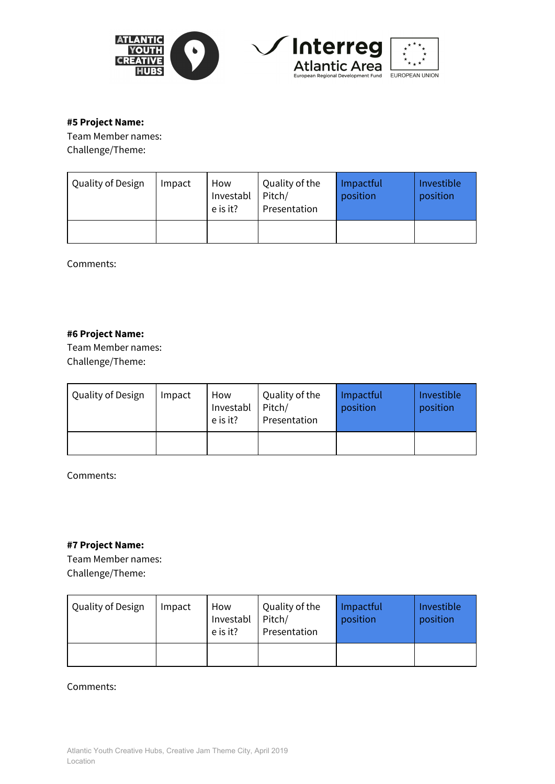



#### **#5 Project Name:**

Team Member names: Challenge/Theme:

| Quality of Design | Impact | How<br>Investabl<br>e is it? | Quality of the<br>Pitch/<br>Presentation | Impactful<br>position | Investible<br>position |
|-------------------|--------|------------------------------|------------------------------------------|-----------------------|------------------------|
|                   |        |                              |                                          |                       |                        |

Comments:

# **#6 Project Name:**

Team Member names: Challenge/Theme:

| Quality of Design | Impact | How<br>Investabl<br>e is it? | Quality of the<br>Pitch/<br>Presentation | Impactful<br>position | Investible<br>position |
|-------------------|--------|------------------------------|------------------------------------------|-----------------------|------------------------|
|                   |        |                              |                                          |                       |                        |

Comments:

#### **#7 Project Name:**

Team Member names: Challenge/Theme:

| Quality of Design | Impact | How<br>Investabl<br>e is it? | Quality of the<br>Pitch/<br>Presentation | Impactful<br>position | Investible<br>position |
|-------------------|--------|------------------------------|------------------------------------------|-----------------------|------------------------|
|                   |        |                              |                                          |                       |                        |